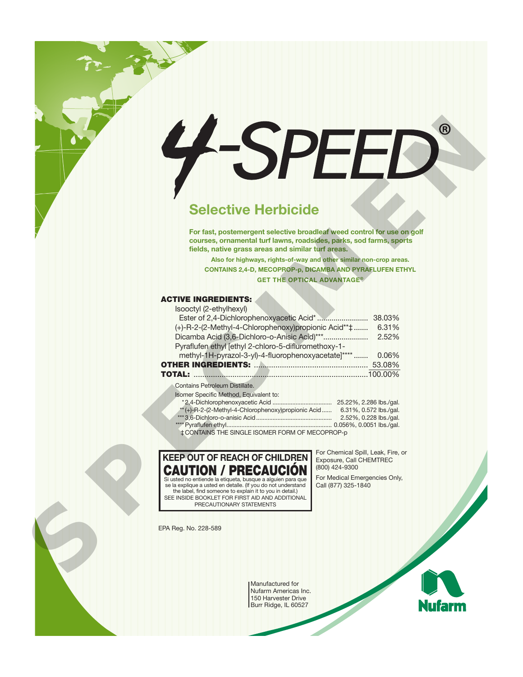# **Selective Herbicide**

#### **ACTIVE INGREDIENTS:**  $\pm$ tyl ( $\Omega$ -ethylik)

| $\mathbf{\left(  B\right) }$<br>7                                                                                                                                                                                                                                                                                                                                                                                                                                                                                                                           |
|-------------------------------------------------------------------------------------------------------------------------------------------------------------------------------------------------------------------------------------------------------------------------------------------------------------------------------------------------------------------------------------------------------------------------------------------------------------------------------------------------------------------------------------------------------------|
| <b>Selective Herbicide</b>                                                                                                                                                                                                                                                                                                                                                                                                                                                                                                                                  |
| For fast, postemergent selective broadleaf weed control for use on golf<br>courses, ornamental turf lawns, roadsides, parks, sod farms, sports<br>fields, native grass areas and similar turf areas.<br>Also for highways, rights-of-way and other similar non-crop areas.<br><b>CONTAINS 2,4-D, MECOPROP-p, DICAMBA AND PYRAFLUFEN ETHYL</b><br><b>GET THE OPTICAL ADVANTAGE<sup>®</sup></b>                                                                                                                                                               |
| <b>ACTIVE INGREDIENTS:</b><br>Isooctyl (2-ethylhexyl)<br>(+)-R-2-(2-Methyl-4-Chlorophenoxy)propionic Acid** $\ddagger$ 6.31%<br>Pyraflufen ethyl [ethyl 2-chloro-5-difluromethoxy-1-<br>methyl-1H-pyrazol-3-yl)-4-fluorophenoxyacetate]****  0.06%<br><b>Contains Petroleum Distillate.</b><br>Isomer Specific Method, Equivalent to:<br>** (+)-R-2-(2-Methyl-4-Chlorophenoxy)propionic Acid  6.31%, 0.572 lbs./gal.                                                                                                                                        |
| ‡CONTAINS THE SINGLE ISOMER FORM OF MECOPROP-p<br>For Chemical Spill, Leak, Fire, or<br><b>KEEP OUT OF REACH OF CHILDREN</b><br>Exposure, Call CHEMTREC<br>(800) 424-9300<br>CAUTION / PRECAUCIÓN<br>For Medical Emergencies Only,<br>Si usted no entiende la etiqueta, busque a alquien para que<br>se la explique a usted en detalle. (If you do not understand<br>Call (877) 325-1840<br>the label, find someone to explain it to you in detail.)<br>SEE INSIDE BOOKLET FOR FIRST AID AND ADDITIONAL<br>PRECAUTIONARY STATEMENTS<br>EPA Reg. No. 228-589 |

| **(+)-R-2-(2-Methyl-4-Chlorophenoxy)propionic Acid | 6.31%, 0.572 lbs./gal. |
|----------------------------------------------------|------------------------|
|                                                    | 2.52%, 0.228 lbs./gal. |
|                                                    |                        |
| ‡CONTAINS THE SINGLE ISOMER FORM OF MECOPROP-p     |                        |



Manufactured for Nufarm Americas Inc. 150 Harvester Drive Burr Ridge, IL 60527

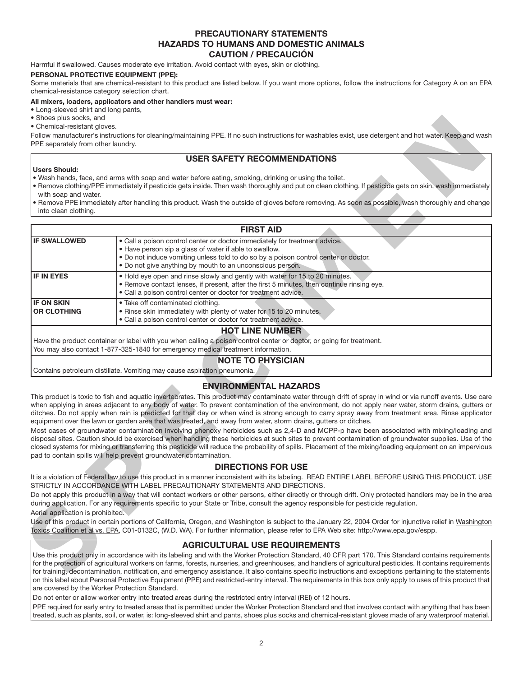# **PRECAUTIONARY STATEMENTS HAZARDS TO HUMANS AND DOMESTIC ANIMALS CAUTION / PRECAUCIÓN**

Harmful if swallowed. Causes moderate eye irritation. Avoid contact with eyes, skin or clothing.

### **PERSONAL PROTECTIVE EQUIPMENT (PPE):**

Some materials that are chemical-resistant to this product are listed below. If you want more options, follow the instructions for Category A on an EPA chemical-resistance category selection chart.

### **All mixers, loaders, applicators and other handlers must wear:**

• Long-sleeved shirt and long pants,

• Shoes plus socks, and

• Chemical-resistant gloves.

# **USER SAFETY RECOMMENDATIONS**

### **Users Should:**

- Remove clothing/PPE immediately if pesticide gets inside. Then wash thoroughly and put on clean clothing. If pesticide gets on skin, wash immediately with soap and water.
- Remove PPE immediately after handling this product. Wash the outside of gloves before removing. As soon as possible, wash thoroughly and change into clean clothing.

| ■ Unemicai-resistant gioves.<br>PPE separately from other laundry.   | Follow manufacturer's instructions for cleaning/maintaining PPE. If no such instructions for washables exist, use detergent and hot water. Keep and wash                                                                                                                                                                                                                                                                                                                                                                                                                                |
|----------------------------------------------------------------------|-----------------------------------------------------------------------------------------------------------------------------------------------------------------------------------------------------------------------------------------------------------------------------------------------------------------------------------------------------------------------------------------------------------------------------------------------------------------------------------------------------------------------------------------------------------------------------------------|
|                                                                      | <b>USER SAFETY RECOMMENDATIONS</b>                                                                                                                                                                                                                                                                                                                                                                                                                                                                                                                                                      |
| <b>Users Should:</b><br>with soap and water.<br>into clean clothing. | . Wash hands, face, and arms with soap and water before eating, smoking, drinking or using the toilet.<br>. Remove clothing/PPE immediately if pesticide gets inside. Then wash thoroughly and put on clean clothing. If pesticide gets on skin, wash immediately<br>. Remove PPE immediately after handling this product. Wash the outside of gloves before removing. As soon as possible, wash thoroughly and change                                                                                                                                                                  |
|                                                                      | <b>FIRST AID</b>                                                                                                                                                                                                                                                                                                                                                                                                                                                                                                                                                                        |
| <b>IF SWALLOWED</b>                                                  | • Call a poison control center or doctor immediately for treatment advice.<br>• Have person sip a glass of water if able to swallow.<br>. Do not induce vomiting unless told to do so by a poison control center or doctor.<br>. Do not give anything by mouth to an unconscious person.                                                                                                                                                                                                                                                                                                |
| <b>IF IN EYES</b>                                                    | . Hold eye open and rinse slowly and gently with water for 15 to 20 minutes.<br>. Remove contact lenses, if present, after the first 5 minutes, then continue rinsing eye.<br>• Call a poison control center or doctor for treatment advice.                                                                                                                                                                                                                                                                                                                                            |
| <b>IF ON SKIN</b><br><b>OR CLOTHING</b>                              | · Take off contaminated clothing.<br>. Rinse skin immediately with plenty of water for 15 to 20 minutes.<br>. Call a poison control center or doctor for treatment advice.                                                                                                                                                                                                                                                                                                                                                                                                              |
|                                                                      | You may also contact 1-877-325-1840 for emergency medical treatment information.<br><b>NOTE TO PHYSICIAN</b><br>Contains petroleum distillate. Vomiting may cause aspiration pneumonia.                                                                                                                                                                                                                                                                                                                                                                                                 |
|                                                                      | <b>ENVIRONMENTAL HAZARDS</b>                                                                                                                                                                                                                                                                                                                                                                                                                                                                                                                                                            |
|                                                                      | This product is toxic to fish and aquatic invertebrates. This product may contaminate water through drift of spray in wind or via runoff events. Use care<br>when applying in areas adjacent to any body of water. To prevent contamination of the environment, do not apply near water, storm drains, gutters o<br>ditches. Do not apply when rain is predicted for that day or when wind is strong enough to carry spray away from treatment area. Rinse applicato<br>equipment over the lawn or garden area that was treated, and away from water, storm drains, gutters or ditches. |
|                                                                      | Most cases of groundwater contamination involving phenoxy herbicides such as 2,4-D and MCPP-p have been associated with mixing/loading and<br>disposal sites. Caution should be exercised when handling these herbicides at such sites to prevent contamination of groundwater supplies. Use of the<br>closed systems for mixing or transferring this pesticide will reduce the probability of spills. Placement of the mixing/loading equipment on an impervious<br>pad to contain spills will help prevent groundwater contamination.                                                 |
|                                                                      | <b>DIRECTIONS FOR USE</b>                                                                                                                                                                                                                                                                                                                                                                                                                                                                                                                                                               |
|                                                                      | It is a violation of Federal law to use this product in a manner inconsistent with its labeling. READ ENTIRE LABEL BEFORE USING THIS PRODUCT. USI<br>STRICTLY IN ACCORDANCE WITH LABEL PRECAUTIONARY STATEMENTS AND DIRECTIONS.                                                                                                                                                                                                                                                                                                                                                         |
| Aerial application is prohibited.                                    | Do not apply this product in a way that will contact workers or other persons, either directly or through drift. Only protected handlers may be in the area<br>during application. For any requirements specific to your State or Tribe, consult the agency responsible for pesticide regulation.                                                                                                                                                                                                                                                                                       |
|                                                                      | Use of this product in certain portions of California, Oregon, and Washington is subject to the January 22, 2004 Order for injunctive relief in Washingtor<br>Toxics Coalition et al vs. EPA, C01-0132C, (W.D. WA). For further information, please refer to EPA Web site: http://www.epa.gov/espp.                                                                                                                                                                                                                                                                                     |
|                                                                      | <b>AGRICULTURAL USE REQUIREMENTS</b>                                                                                                                                                                                                                                                                                                                                                                                                                                                                                                                                                    |
|                                                                      | Use this product only in accordance with its labeling and with the Worker Protection Standard, 40 CFR part 170. This Standard contains requirements<br>for the protection of agricultural workers on farms, forests, nurseries, and greenhouses, and handlers of agricultural pesticides. It contains requirements<br>for training, decontamination, notification, and emergency assistance. It also contains specific instructions and exceptions pertaining to the statements                                                                                                         |

# **NOTE TO PHYSICIAN**

# **ENVIRONMENTAL HAZARDS**

# **DIRECTIONS FOR USE**

# **AGRICULTURAL USE REQUIREMENTS**

Use this product only in accordance with its labeling and with the Worker Protection Standard, 40 CFR part 170. This Standard contains requirements for the protection of agricultural workers on farms, forests, nurseries, and greenhouses, and handlers of agricultural pesticides. It contains requirements for training, decontamination, notification, and emergency assistance. It also contains specific instructions and exceptions pertaining to the statements on this label about Personal Protective Equipment (PPE) and restricted-entry interval. The requirements in this box only apply to uses of this product that are covered by the Worker Protection Standard.

Do not enter or allow worker entry into treated areas during the restricted entry interval (REI) of 12 hours.

PPE required for early entry to treated areas that is permitted under the Worker Protection Standard and that involves contact with anything that has been treated, such as plants, soil, or water, is: long-sleeved shirt and pants, shoes plus socks and chemical-resistant gloves made of any waterproof material.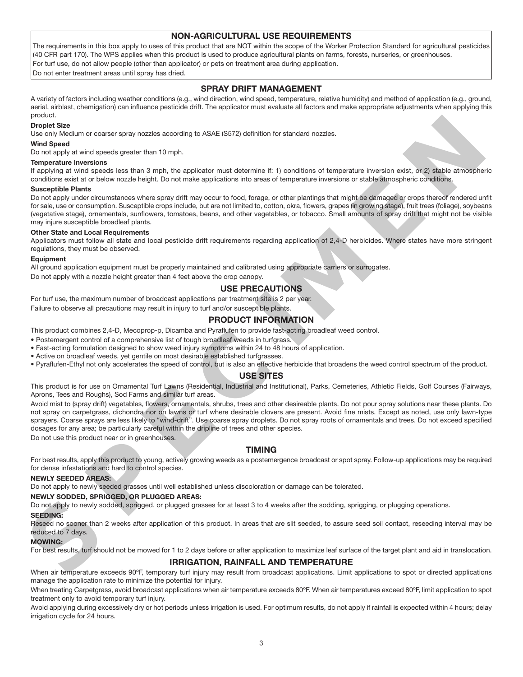# **NON-AGRICULTURAL USE REQUIREMENTS**

The requirements in this box apply to uses of this product that are NOT within the scope of the Worker Protection Standard for agricultural pesticides (40 CFR part 170). The WPS applies when this product is used to produce agricultural plants on farms, forests, nurseries, or greenhouses. For turf use, do not allow people (other than applicator) or pets on treatment area during application. Do not enter treatment areas until spray has dried.

# **SPRAY DRIFT MANAGEMENT**

A variety of factors including weather conditions (e.g., wind direction, wind speed, temperature, relative humidity) and method of application (e.g., ground, aerial, airblast, chemigation) can influence pesticide drift. The applicator must evaluate all factors and make appropriate adjustments when applying this product.

### **Droplet Size**

Use only Medium or coarser spray nozzles according to ASAE (S572) definition for standard nozzles.

### **Wind Speed**

Do not apply at wind speeds greater than 10 mph.

### **Temperature Inversions**

If applying at wind speeds less than 3 mph, the applicator must determine if: 1) conditions of temperature inversion exist, or 2) stable atmospheric conditions exist at or below nozzle height. Do not make applications into areas of temperature inversions or stable atmospheric conditions.

### **Susceptible Plants**

Do not apply under circumstances where spray drift may occur to food, forage, or other plantings that might be damaged or crops thereof rendered unfit for sale, use or consumption. Susceptible crops include, but are not limited to, cotton, okra, flowers, grapes (in growing stage), fruit trees (foliage), soybeans (vegetative stage), ornamentals, sunflowers, tomatoes, beans, and other vegetables, or tobacco. Small amounts of spray drift that might not be visible may injure susceptible broadleaf plants.

### **Other State and Local Requirements**

Applicators must follow all state and local pesticide drift requirements regarding application of 2,4-D herbicides. Where states have more stringent regulations, they must be observed.

### **Equipment**

All ground application equipment must be properly maintained and calibrated using appropriate carriers or surrogates. Do not apply with a nozzle height greater than 4 feet above the crop canopy.

# **USE PRECAUTIONS**

For turf use, the maximum number of broadcast applications per treatment site is 2 per year. Failure to observe all precautions may result in injury to turf and/or susceptible plants.

# **PRODUCT INFORMATION**

This product combines 2,4-D, Mecoprop-p, Dicamba and Pyraflufen to provide fast-acting broadleaf weed control.

• Postemergent control of a comprehensive list of tough broadleaf weeds in turfgrass.

• Fast-acting formulation designed to show weed injury symptoms within 24 to 48 hours of application.

- Active on broadleaf weeds, yet gentile on most desirable established turfgrasses.
- Pyraflufen-Ethyl not only accelerates the speed of control, but is also an effective herbicide that broadens the weed control spectrum of the product.

## **USE SITES**

This product is for use on Ornamental Turf Lawns (Residential, Industrial and Institutional), Parks, Cemeteries, Athletic Fields, Golf Courses (Fairways, Aprons, Tees and Roughs), Sod Farms and similar turf areas.

Avoid mist to (spray drift) vegetables, flowers, ornamentals, shrubs, trees and other desireable plants. Do not pour spray solutions near these plants. Do not spray on carpetgrass, dichondra nor on lawns or turf where desirable clovers are present. Avoid fine mists. Except as noted, use only lawn-type sprayers. Coarse sprays are less likely to "wind-drift". Use coarse spray droplets. Do not spray roots of ornamentals and trees. Do not exceed specified dosages for any area; be particularly careful within the dripline of trees and other species. theory, health to constant prop worste according to 8046 (8577) distintent for standard complete.<br>Which Speed<br>The members between the proposition of the proposition of the members of the standard standard interesting<br>const

Do not use this product near or in greenhouses.

## **TIMING**

For best results, apply this product to young, actively growing weeds as a postemergence broadcast or spot spray. Follow-up applications may be required for dense infestations and hard to control species.

### **NEWLY SEEDED AREAS:**

Do not apply to newly seeded grasses until well established unless discoloration or damage can be tolerated.

### **NEWLY SODDED, SPRIGGED, OR PLUGGED AREAS:**

Do not apply to newly sodded, sprigged, or plugged grasses for at least 3 to 4 weeks after the sodding, sprigging, or plugging operations.

### **SEEDING:**

Reseed no sooner than 2 weeks after application of this product. In areas that are slit seeded, to assure seed soil contact, reseeding interval may be reduced to 7 days.

### **MOWING:**

For best results, turf should not be mowed for 1 to 2 days before or after application to maximize leaf surface of the target plant and aid in translocation.

### **IRRIGATION, RAINFALL AND TEMPERATURE**

When air temperature exceeds 90ºF, temporary turf injury may result from broadcast applications. Limit applications to spot or directed applications manage the application rate to minimize the potential for injury.

When treating Carpetgrass, avoid broadcast applications when air temperature exceeds 80°F. When air temperatures exceed 80°F, limit application to spot treatment only to avoid temporary turf injury.

Avoid applying during excessively dry or hot periods unless irrigation is used. For optimum results, do not apply if rainfall is expected within 4 hours; delay irrigation cycle for 24 hours.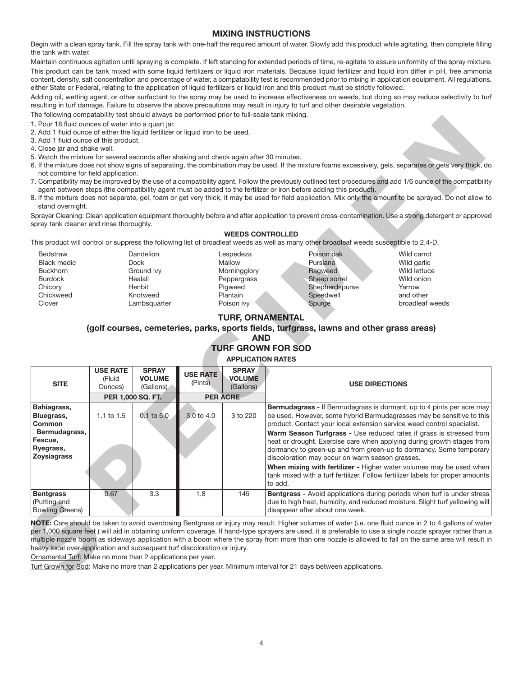# **MIXING INSTRUCTIONS**

Begin with a clean spray tank. Fill the spray tank with one-half the required amount of water. Slowly add this product while agitating, then complete filling the tank with water.

Maintain continuous agitation until spraying is complete. If left standing for extended periods of time, re-agitate to assure uniformity of the spray mixture. This product can be tank mixed with some liquid fertilizers or liquid iron materials. Because liquid fertilizer and liquid iron differ in pH, free ammonia content, density, salt concentration and percentage of water, a compatability test is recommended prior to mixing in application equipment. All regulations, either State or Federal, relating to the application of liquid fertilizers or liquid iron and this product must be strictly followed.

Adding oil, wetting agent, or other surfactant to the spray may be used to increase effectiveness on weeds, but doing so may reduce selectivity to turf resulting in turf damage. Failure to observe the above precautions may result in injury to turf and other desirable vegetation.

The following compatability test should always be performed prior to full-scale tank mixing.

- 1. Pour 18 fluid ounces of water into a quart jar.
- 2. Add 1 fluid ounce of either the liquid fertilizer or liquid iron to be used.
- 3. Add 1 fluid ounce of this product.
- 4. Close jar and shake well.
- 5. Watch the mixture for several seconds after shaking and check again after 30 minutes.
- 6. If the mixture does not show signs of separating, the combination may be used. If the mixture foams excessively, gels, separates or gets very thick, do not combine for field application.
- 7. Compatibility may be improved by the use of a compatibility agent. Follow the previously outlined test procedures and add 1/6 ounce of the compatibility agent between steps (the compatibility agent must be added to the fertilizer or iron before adding this product).
- 8. If the mixture does not separate, gel, foam or get very thick, it may be used for field application. Mix only the amount to be sprayed. Do not allow to stand overnight

### **WEEDS CONTROLLED**

- **Bedstraw** Black medic Buckhorn Burdock **Chicory** Chickweed Clover
- Dandelion Dock Ground ivy Healall Henbit Knotweed Lambsquarter
- Lespedeza **Mallow Morningglory** Peppergrass Pigweed Plantain Poison ivy
- Poison oak Purslane Ragweed Sheep sorrel Shepherdspurse Speedwell Spurge

# **TURF, ORNAMENTAL**

# **(golf courses, cemeteries, parks, sports fields, turfgrass, lawns and other grass areas)**

# **AND**

### **TURF GROWN FOR SOD APPLICATION RATES**

| 2. Add 1 fluid ounce of either the liquid fertilizer or liquid iron to be used.<br>3. Add 1 fluid ounce of this product.<br>4. Close jar and shake well.                                   |                                      |                                                                                         |                               |                                                                                         |                                                                                                                                         |                       |                                                                                                                                                                                                                                                                                                                                                                                                                                                                                                                                                                                                                 |
|--------------------------------------------------------------------------------------------------------------------------------------------------------------------------------------------|--------------------------------------|-----------------------------------------------------------------------------------------|-------------------------------|-----------------------------------------------------------------------------------------|-----------------------------------------------------------------------------------------------------------------------------------------|-----------------------|-----------------------------------------------------------------------------------------------------------------------------------------------------------------------------------------------------------------------------------------------------------------------------------------------------------------------------------------------------------------------------------------------------------------------------------------------------------------------------------------------------------------------------------------------------------------------------------------------------------------|
| 5. Watch the mixture for several seconds after shaking and check again after 30 minutes.                                                                                                   |                                      |                                                                                         |                               |                                                                                         |                                                                                                                                         |                       | 6. If the mixture does not show signs of separating, the combination may be used. If the mixture foams excessively, gels, separates or gets very thick, do                                                                                                                                                                                                                                                                                                                                                                                                                                                      |
| not combine for field application.<br>stand overnight.                                                                                                                                     |                                      |                                                                                         |                               |                                                                                         | agent between steps (the compatibility agent must be added to the fertilizer or iron before adding this product).                       |                       | 7. Compatibility may be improved by the use of a compatibility agent. Follow the previously outlined test procedures and add 1/6 ounce of the compatibility<br>8. If the mixture does not separate, gel, foam or get very thick, it may be used for field application. Mix only the amount to be sprayed. Do not allow to                                                                                                                                                                                                                                                                                       |
| spray tank cleaner and rinse thoroughly.                                                                                                                                                   |                                      |                                                                                         |                               |                                                                                         |                                                                                                                                         |                       | Sprayer Cleaning: Clean application equipment thoroughly before and after application to prevent cross-contamination. Use a strong detergent or approved                                                                                                                                                                                                                                                                                                                                                                                                                                                        |
|                                                                                                                                                                                            |                                      |                                                                                         |                               | <b>WEEDS CONTROLLED</b>                                                                 | This product will control or suppress the following list of broadleaf weeds as well as many other broadleaf weeds susceptible to 2,4-D. |                       |                                                                                                                                                                                                                                                                                                                                                                                                                                                                                                                                                                                                                 |
| Bedstraw<br><b>Black medic</b><br><b>Buckhorn</b><br><b>Burdock</b><br>Chicory<br>Chickweed<br>Clover                                                                                      |                                      | Dandelion<br><b>Dock</b><br>Ground ivy<br>Healall<br>Henbit<br>Knotweed<br>Lambsquarter |                               | Lespedeza<br>Mallow<br>Morningglory<br>Peppergrass<br>Pigweed<br>Plantain<br>Poison ivy | Poison oak<br>Purslane<br>Ragweed<br>Sheep sorrel<br>Shepherdspurse<br>Speedwell<br>Spurge                                              |                       | Wild carrot<br>Wild garlic<br>Wild lettuce<br>Wild onion<br>Yarrow<br>and other<br>broadleaf weeds                                                                                                                                                                                                                                                                                                                                                                                                                                                                                                              |
| <b>TURF, ORNAMENTAL</b><br>(golf courses, cemeteries, parks, sports fields, turfgrass, lawns and other grass areas)<br><b>AND</b><br><b>TURF GROWN FOR SOD</b><br><b>APPLICATION RATES</b> |                                      |                                                                                         |                               |                                                                                         |                                                                                                                                         |                       |                                                                                                                                                                                                                                                                                                                                                                                                                                                                                                                                                                                                                 |
|                                                                                                                                                                                            |                                      |                                                                                         |                               |                                                                                         |                                                                                                                                         |                       |                                                                                                                                                                                                                                                                                                                                                                                                                                                                                                                                                                                                                 |
| <b>SITE</b>                                                                                                                                                                                | <b>USE RATE</b><br>(Fluid<br>Ounces) | <b>SPRAY</b><br><b>VOLUME</b><br>(Gallons)                                              | <b>USE RATE</b><br>(Pints)    | <b>SPRAY</b><br><b>VOLUME</b><br>(Gallons)                                              |                                                                                                                                         | <b>USE DIRECTIONS</b> |                                                                                                                                                                                                                                                                                                                                                                                                                                                                                                                                                                                                                 |
| Bahiagrass,<br>Bluegrass,<br>Common<br>Bermudagrass,<br>Fescue,<br>Ryegrass,<br><b>Zoysiagrass</b>                                                                                         | 1.1 to 1.5                           | PER 1,000 SQ. FT.<br>$0.1$ to $5.0$                                                     | <b>PER ACRE</b><br>3.0 to 4.0 | 3 to 220                                                                                | discoloration may occur on warm season grasses.<br>to add.                                                                              |                       | <b>Bermudagrass - If Bermudagrass is dormant, up to 4 pints per acre may</b><br>be used. However, some hybrid Bermudagrasses may be sensitive to this<br>product. Contact your local extension service weed control specialist.<br>Warm Season Turfgrass - Use reduced rates if grass is stressed from<br>heat or drought. Exercise care when applying during growth stages from<br>dormancy to green-up and from green-up to dormancy. Some temporary<br>When mixing with fertilizer - Higher water volumes may be used when<br>tank mixed with a turf fertilizer. Follow fertilizer labels for proper amounts |
| <b>Bentgrass</b><br>(Putting and<br><b>Bowling Greens)</b>                                                                                                                                 | 0.67                                 | 3.3                                                                                     | 1.8                           | 145                                                                                     | disappear after about one week.                                                                                                         |                       | Bentgrass - Avoid applications during periods when turf is under stress<br>due to high heat, humidity, and reduced moisture. Slight turf yellowing will                                                                                                                                                                                                                                                                                                                                                                                                                                                         |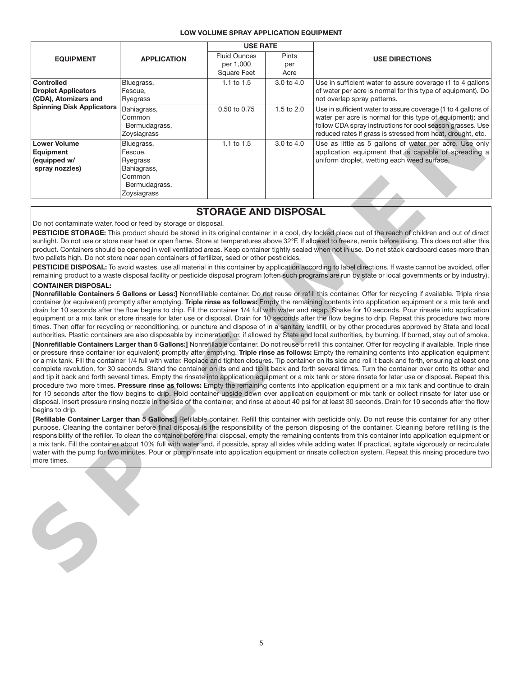### **LOW VOLUME SPRAY APPLICATION EQUIPMENT**

|                                                                                                                                                                                                                                                                                                                                                                                                                                                                                                                                                                                                                                                                                                                                                                                                                                                                                                                                                                                                                                                                                                                                                                                                                                                                                                                                                                                                                                                                                                                                                                                                                                                                                                                                                                                                                                                                                                                                                                                                                                                                                                                                                                                                                                                                                                                                                                                                                                                                                                                                                                                                                                                                                                                                                                                                                                                                                                                                                                                                                                                                                                                                                                                                                                                                                                                                                                                                                                                                                                                                                                                                                                                                                                                                                                                                                                                                                                                                                                                                                                                                                                                                                           |                                                                                            | <b>USE RATE</b>                                        |                      |                                                                                                                                                                                                                                                         |  |  |  |
|-----------------------------------------------------------------------------------------------------------------------------------------------------------------------------------------------------------------------------------------------------------------------------------------------------------------------------------------------------------------------------------------------------------------------------------------------------------------------------------------------------------------------------------------------------------------------------------------------------------------------------------------------------------------------------------------------------------------------------------------------------------------------------------------------------------------------------------------------------------------------------------------------------------------------------------------------------------------------------------------------------------------------------------------------------------------------------------------------------------------------------------------------------------------------------------------------------------------------------------------------------------------------------------------------------------------------------------------------------------------------------------------------------------------------------------------------------------------------------------------------------------------------------------------------------------------------------------------------------------------------------------------------------------------------------------------------------------------------------------------------------------------------------------------------------------------------------------------------------------------------------------------------------------------------------------------------------------------------------------------------------------------------------------------------------------------------------------------------------------------------------------------------------------------------------------------------------------------------------------------------------------------------------------------------------------------------------------------------------------------------------------------------------------------------------------------------------------------------------------------------------------------------------------------------------------------------------------------------------------------------------------------------------------------------------------------------------------------------------------------------------------------------------------------------------------------------------------------------------------------------------------------------------------------------------------------------------------------------------------------------------------------------------------------------------------------------------------------------------------------------------------------------------------------------------------------------------------------------------------------------------------------------------------------------------------------------------------------------------------------------------------------------------------------------------------------------------------------------------------------------------------------------------------------------------------------------------------------------------------------------------------------------------------------------------------------------------------------------------------------------------------------------------------------------------------------------------------------------------------------------------------------------------------------------------------------------------------------------------------------------------------------------------------------------------------------------------------------------------------------------------------------------------------|--------------------------------------------------------------------------------------------|--------------------------------------------------------|----------------------|---------------------------------------------------------------------------------------------------------------------------------------------------------------------------------------------------------------------------------------------------------|--|--|--|
| <b>EQUIPMENT</b>                                                                                                                                                                                                                                                                                                                                                                                                                                                                                                                                                                                                                                                                                                                                                                                                                                                                                                                                                                                                                                                                                                                                                                                                                                                                                                                                                                                                                                                                                                                                                                                                                                                                                                                                                                                                                                                                                                                                                                                                                                                                                                                                                                                                                                                                                                                                                                                                                                                                                                                                                                                                                                                                                                                                                                                                                                                                                                                                                                                                                                                                                                                                                                                                                                                                                                                                                                                                                                                                                                                                                                                                                                                                                                                                                                                                                                                                                                                                                                                                                                                                                                                                          | <b>APPLICATION</b>                                                                         | <b>Fluid Ounces</b><br>per 1,000<br><b>Square Feet</b> | Pints<br>per<br>Acre | <b>USE DIRECTIONS</b>                                                                                                                                                                                                                                   |  |  |  |
| <b>Controlled</b><br><b>Droplet Applicators</b><br>(CDA), Atomizers and                                                                                                                                                                                                                                                                                                                                                                                                                                                                                                                                                                                                                                                                                                                                                                                                                                                                                                                                                                                                                                                                                                                                                                                                                                                                                                                                                                                                                                                                                                                                                                                                                                                                                                                                                                                                                                                                                                                                                                                                                                                                                                                                                                                                                                                                                                                                                                                                                                                                                                                                                                                                                                                                                                                                                                                                                                                                                                                                                                                                                                                                                                                                                                                                                                                                                                                                                                                                                                                                                                                                                                                                                                                                                                                                                                                                                                                                                                                                                                                                                                                                                   | Bluegrass,<br>Fescue,<br>Ryegrass                                                          | 1.1 to $1.5$                                           | 3.0 to 4.0           | Use in sufficient water to assure coverage (1 to 4 gallons<br>of water per acre is normal for this type of equipment). Do<br>not overlap spray patterns.                                                                                                |  |  |  |
| <b>Spinning Disk Applicators</b>                                                                                                                                                                                                                                                                                                                                                                                                                                                                                                                                                                                                                                                                                                                                                                                                                                                                                                                                                                                                                                                                                                                                                                                                                                                                                                                                                                                                                                                                                                                                                                                                                                                                                                                                                                                                                                                                                                                                                                                                                                                                                                                                                                                                                                                                                                                                                                                                                                                                                                                                                                                                                                                                                                                                                                                                                                                                                                                                                                                                                                                                                                                                                                                                                                                                                                                                                                                                                                                                                                                                                                                                                                                                                                                                                                                                                                                                                                                                                                                                                                                                                                                          | Bahiagrass,<br>Common<br>Bermudagrass,<br>Zoysiagrass                                      | 0.50 to 0.75                                           | 1.5 to 2.0           | Use in sufficient water to assure coverage (1 to 4 gallons of<br>water per acre is normal for this type of equipment); and<br>follow CDA spray instructions for cool season grasses. Use<br>reduced rates if grass is stressed from heat, drought, etc. |  |  |  |
| <b>Lower Volume</b><br>Equipment<br>(equipped w/<br>spray nozzles)                                                                                                                                                                                                                                                                                                                                                                                                                                                                                                                                                                                                                                                                                                                                                                                                                                                                                                                                                                                                                                                                                                                                                                                                                                                                                                                                                                                                                                                                                                                                                                                                                                                                                                                                                                                                                                                                                                                                                                                                                                                                                                                                                                                                                                                                                                                                                                                                                                                                                                                                                                                                                                                                                                                                                                                                                                                                                                                                                                                                                                                                                                                                                                                                                                                                                                                                                                                                                                                                                                                                                                                                                                                                                                                                                                                                                                                                                                                                                                                                                                                                                        | Bluegrass,<br>Fescue,<br>Ryegrass<br>Bahiagrass,<br>Common<br>Bermudagrass,<br>Zoysiagrass | 1.1 to 1.5                                             | 3.0 to 4.0           | Use as little as 5 gallons of water per acre. Use only<br>application equipment that is capable of spreading a<br>uniform droplet, wetting each weed surface.                                                                                           |  |  |  |
|                                                                                                                                                                                                                                                                                                                                                                                                                                                                                                                                                                                                                                                                                                                                                                                                                                                                                                                                                                                                                                                                                                                                                                                                                                                                                                                                                                                                                                                                                                                                                                                                                                                                                                                                                                                                                                                                                                                                                                                                                                                                                                                                                                                                                                                                                                                                                                                                                                                                                                                                                                                                                                                                                                                                                                                                                                                                                                                                                                                                                                                                                                                                                                                                                                                                                                                                                                                                                                                                                                                                                                                                                                                                                                                                                                                                                                                                                                                                                                                                                                                                                                                                                           |                                                                                            |                                                        |                      |                                                                                                                                                                                                                                                         |  |  |  |
|                                                                                                                                                                                                                                                                                                                                                                                                                                                                                                                                                                                                                                                                                                                                                                                                                                                                                                                                                                                                                                                                                                                                                                                                                                                                                                                                                                                                                                                                                                                                                                                                                                                                                                                                                                                                                                                                                                                                                                                                                                                                                                                                                                                                                                                                                                                                                                                                                                                                                                                                                                                                                                                                                                                                                                                                                                                                                                                                                                                                                                                                                                                                                                                                                                                                                                                                                                                                                                                                                                                                                                                                                                                                                                                                                                                                                                                                                                                                                                                                                                                                                                                                                           |                                                                                            |                                                        |                      |                                                                                                                                                                                                                                                         |  |  |  |
| <b>STORAGE AND DISPOSAL</b><br>Do not contaminate water, food or feed by storage or disposal.<br>PESTICIDE STORAGE: This product should be stored in its original container in a cool, dry locked place out of the reach of children and out of direct<br>sunlight. Do not use or store near heat or open flame. Store at temperatures above 32°F. If allowed to freeze, remix before using. This does not alter this<br>product. Containers should be opened in well ventilated areas. Keep container tightly sealed when not in use. Do not stack cardboard cases more than<br>two pallets high. Do not store near open containers of fertilizer, seed or other pesticides.<br>PESTICIDE DISPOSAL: To avoid wastes, use all material in this container by application according to label directions. If waste cannot be avoided, offer<br>remaining product to a waste disposal facility or pesticide disposal program (often such programs are run by state or local governments or by industry).<br><b>CONTAINER DISPOSAL:</b><br>[Nonrefillable Containers 5 Gallons or Less:] Nonrefillable container. Do not reuse or refill this container. Offer for recycling if available. Triple rinse<br>container (or equivalent) promptly after emptying. Triple rinse as follows: Empty the remaining contents into application equipment or a mix tank and<br>drain for 10 seconds after the flow begins to drip. Fill the container 1/4 full with water and recap. Shake for 10 seconds. Pour rinsate into application<br>equipment or a mix tank or store rinsate for later use or disposal. Drain for 10 seconds after the flow begins to drip. Repeat this procedure two more<br>times. Then offer for recycling or reconditioning, or puncture and dispose of in a sanitary landfill, or by other procedures approved by State and local<br>authorities. Plastic containers are also disposable by incineration, or, if allowed by State and local authorities, by burning. If burned, stay out of smoke.<br>[Nonrefillable Containers Larger than 5 Gallons:] Nonrefillable container. Do not reuse or refill this container. Offer for recycling if available. Triple rinse<br>or pressure rinse container (or equivalent) promptly after emptying. Triple rinse as follows: Empty the remaining contents into application equipment<br>or a mix tank. Fill the container 1/4 full with water. Replace and tighten closures. Tip container on its side and roll it back and forth, ensuring at least one<br>complete revolution, for 30 seconds. Stand the container on its end and tip it back and forth several times. Turn the container over onto its other end<br>and tip it back and forth several times. Empty the rinsate into application equipment or a mix tank or store rinsate for later use or disposal. Repeat this<br>procedure two more times. Pressure rinse as follows: Empty the remaining contents into application equipment or a mix tank and continue to drain<br>for 10 seconds after the flow begins to drip. Hold container upside down over application equipment or mix tank or collect rinsate for later use or<br>disposal. Insert pressure rinsing nozzle in the side of the container, and rinse at about 40 psi for at least 30 seconds. Drain for 10 seconds after the flow<br>begins to drip.<br>[Refillable Container Larger than 5 Gallons:] Refillable container. Refill this container with pesticide only. Do not reuse this container for any other<br>purpose. Cleaning the container before final disposal is the responsibility of the person disposing of the container. Cleaning before refilling is the<br>responsibility of the refiller. To clean the container before final disposal, empty the remaining contents from this container into application equipment or<br>a mix tank. Fill the container about 10% full with water and, if possible, spray all sides while adding water. If practical, agitate vigorously or recirculate<br>water with the pump for two minutes. Pour or pump rinsate into application equipment or rinsate collection system. Repeat this rinsing procedure two |                                                                                            |                                                        |                      |                                                                                                                                                                                                                                                         |  |  |  |
|                                                                                                                                                                                                                                                                                                                                                                                                                                                                                                                                                                                                                                                                                                                                                                                                                                                                                                                                                                                                                                                                                                                                                                                                                                                                                                                                                                                                                                                                                                                                                                                                                                                                                                                                                                                                                                                                                                                                                                                                                                                                                                                                                                                                                                                                                                                                                                                                                                                                                                                                                                                                                                                                                                                                                                                                                                                                                                                                                                                                                                                                                                                                                                                                                                                                                                                                                                                                                                                                                                                                                                                                                                                                                                                                                                                                                                                                                                                                                                                                                                                                                                                                                           |                                                                                            |                                                        |                      |                                                                                                                                                                                                                                                         |  |  |  |

# **STORAGE AND DISPOSAL**